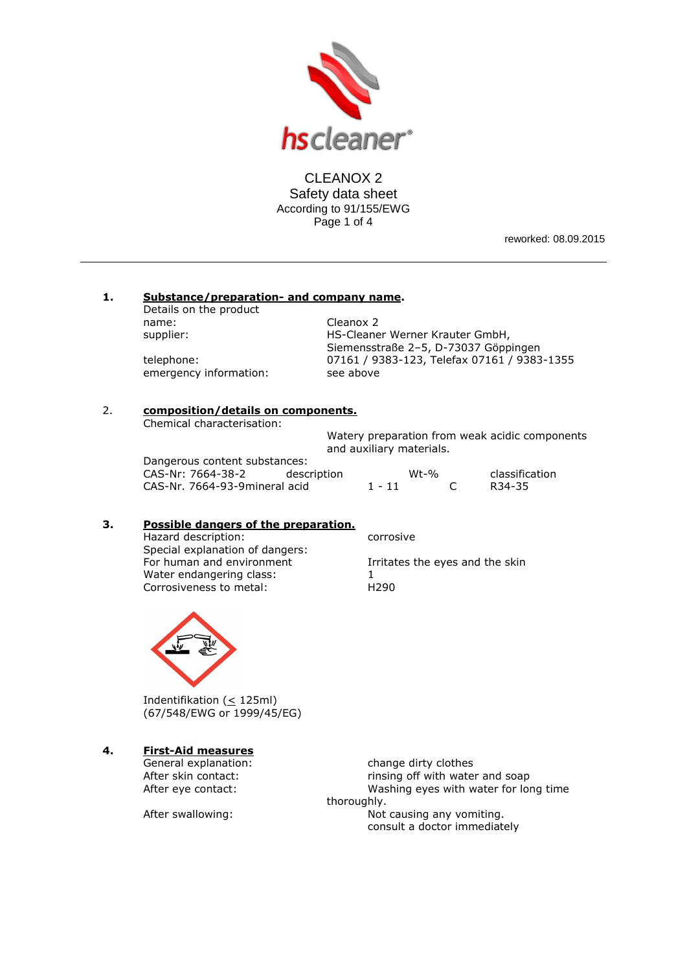

CLEANOX 2 Safety data sheet According to 91/155/EWG Page 1 of 4

reworked: 08.09.2015

#### **1. Substance/preparation- and company name.**

Details on the product name: Cleanox 2

supplier: **HS-Cleaner Werner Krauter GmbH**, Siemensstraße 2–5, D-73037 Göppingen telephone: 07161 / 9383-123, Telefax 07161 / 9383-1355 emergency information: see above

## 2. **composition/details on components.**

Chemical characterisation:

Watery preparation from weak acidic components and auxiliary materials.

Dangerous content substances: CAS-Nr: 7664-38-2 description CAS-Nr. 7664-93-9mineral acid

|          | $Wt-0$ | classification      |
|----------|--------|---------------------|
| $1 - 11$ |        | R <sub>34</sub> -35 |

# **3. Possible dangers of the preparation.**

Hazard description: corrosive Special explanation of dangers:<br>For human and environment Water endangering class:  $1$ <br>Corrosiveness to metal:  $1290$ Corrosiveness to metal:

Irritates the eyes and the skin



Indentifikation (< 125ml) (67/548/EWG or 1999/45/EG)

# **4. First-Aid measures**

General explanation: change dirty clothes After skin contact: rinsing off with water and soap<br>After eye contact: and some washing eyes with water for lor Washing eyes with water for long time thoroughly.

After swallowing: Not causing any vomiting. consult a doctor immediately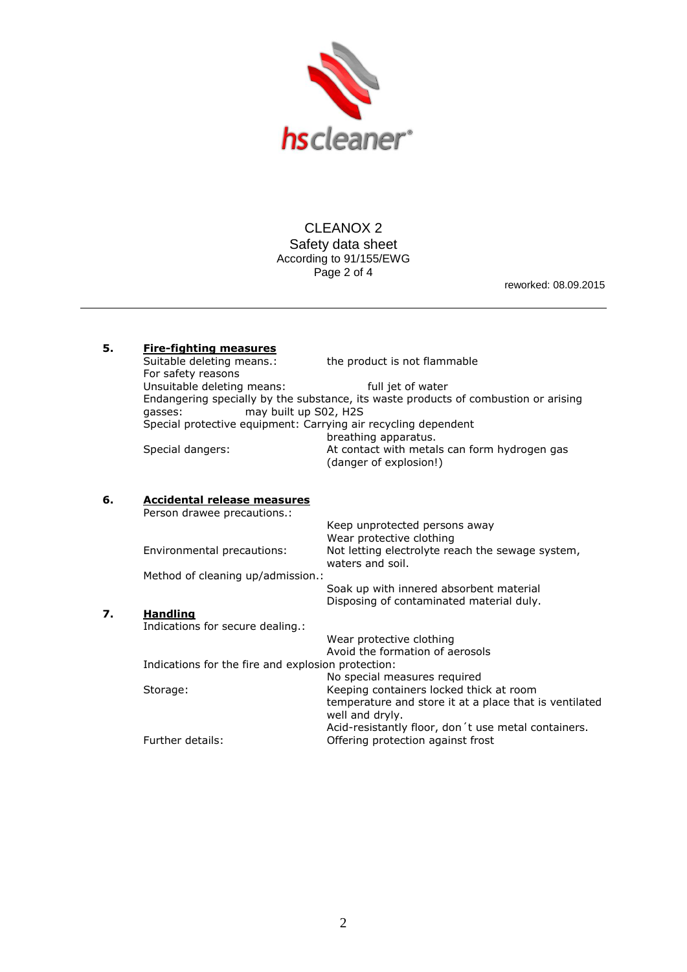

CLEANOX 2 Safety data sheet According to 91/155/EWG Page 2 of 4

reworked: 08.09.2015

| 5. | <b>Fire-fighting measures</b><br>Suitable deleting means.:<br>For safety reasons    | the product is not flammable                                           |  |  |  |  |
|----|-------------------------------------------------------------------------------------|------------------------------------------------------------------------|--|--|--|--|
|    | Unsuitable deleting means:                                                          | full jet of water                                                      |  |  |  |  |
|    | Endangering specially by the substance, its waste products of combustion or arising |                                                                        |  |  |  |  |
|    | may built up S02, H2S<br>gasses:                                                    |                                                                        |  |  |  |  |
|    | Special protective equipment: Carrying air recycling dependent                      |                                                                        |  |  |  |  |
|    |                                                                                     | breathing apparatus.                                                   |  |  |  |  |
|    | Special dangers:                                                                    | At contact with metals can form hydrogen gas<br>(danger of explosion!) |  |  |  |  |
| 6. | Accidental release measures<br>Person drawee precautions.:                          |                                                                        |  |  |  |  |
|    |                                                                                     | Keep unprotected persons away<br>Wear protective clothing              |  |  |  |  |
|    | Environmental precautions:                                                          | Not letting electrolyte reach the sewage system,<br>waters and soil.   |  |  |  |  |

Method of cleaning up/admission.: Soak up with innered absorbent material Disposing of contaminated material duly. **7. Handling** Indications for secure dealing.: Wear protective clothing

Avoid the formation of aerosols Indications for the fire and explosion protection: No special measures required Storage: Keeping containers locked thick at room temperature and store it at a place that is ventilated well and dryly. Acid-resistantly floor, don´t use metal containers. Further details: **Details:** Offering protection against frost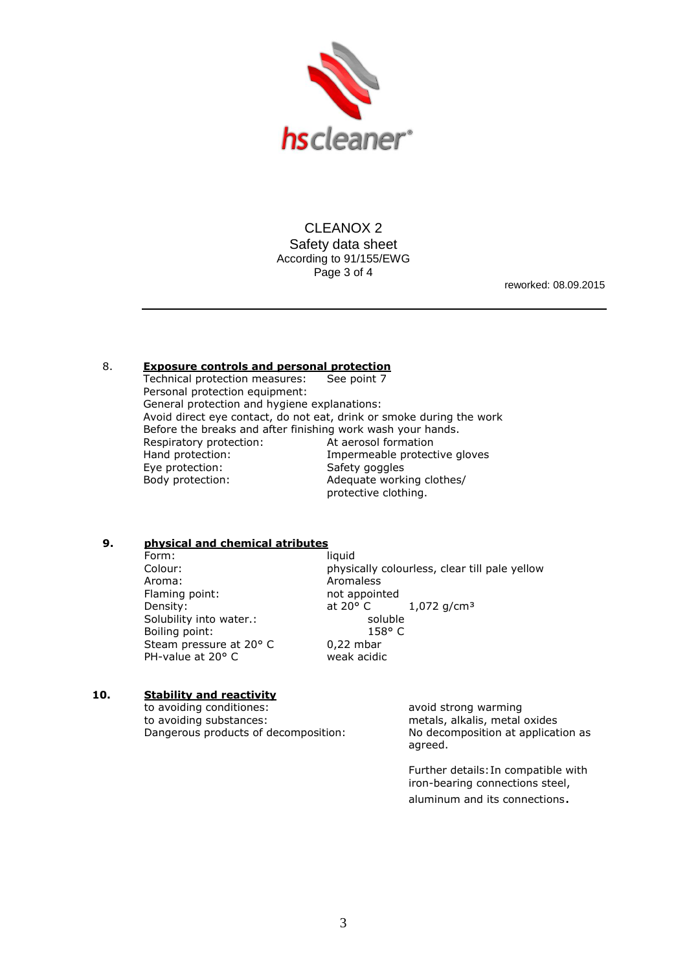

CLEANOX 2 Safety data sheet According to 91/155/EWG Page 3 of 4

reworked: 08.09.2015

## 8. **Exposure controls and personal protection**

Technical protection measures: See point 7 Personal protection equipment: General protection and hygiene explanations: Avoid direct eye contact, do not eat, drink or smoke during the work Before the breaks and after finishing work wash your hands. Respiratory protection: At aerosol formation Hand protection: **Impermeable protective gloves** Eye protection: Safety goggles Body protection: Adequate working clothes/ protective clothing.

## **9. physical and chemical atributes**

Form: liquid Aroma: Aromaless Flaming point: not appointed Solubility into water.: soluble Boiling point: 158° C Steam pressure at 20° C 0,22 mbar<br>PH-value at 20° C weak acidic PH-value at  $20^{\circ}$  C

Colour: physically colourless, clear till pale yellow Density:  $\qquad \qquad \text{at } 20^{\circ} \text{ C} \qquad \qquad 1,072 \text{ g/cm}^3$ 

### **10. Stability and reactivity**

to avoiding conditiones: avoid strong warming to avoiding substances: metals, alkalis, metal oxides Dangerous products of decomposition: No decomposition at application as

agreed.

Further details:In compatible with iron-bearing connections steel, aluminum and its connections.